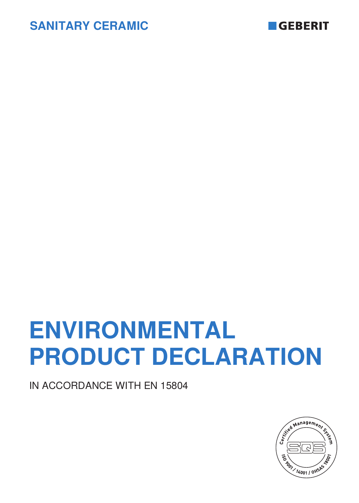



# **ENVIRONMENTAL PRODUCT DECLARATION**

IN ACCORDANCE WITH EN 15804

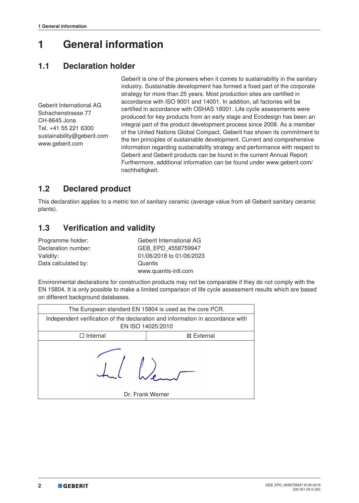# **1 General information**

## **1.1 Declaration holder**

Geberit International AG Schachenstrasse 77 CH-8645 Jona Tel. +41 55 221 6300 sustainability@geberit.com www.geberit.com

Geberit is one of the pioneers when it comes to sustainability in the sanitary industry. Sustainable development has formed a fixed part of the corporate strategy for more than 25 years. Most production sites are certified in accordance with ISO 9001 and 14001. In addition, all factories will be certified in accordance with OSHAS 18001. Life cycle assessments were produced for key products from an early stage and Ecodesign has been an integral part of the product development process since 2008. As a member of the United Nations Global Compact, Geberit has shown its commitment to the ten principles of sustainable development. Current and comprehensive information regarding sustainability strategy and performance with respect to Geberit and Geberit products can be found in the current Annual Report. Furthermore, additional information can be found under www.geberit.com/ nachhaltigkeit.

## **1.2 Declared product**

This declaration applies to a metric ton of sanitary ceramic (average value from all Geberit sanitary ceramic plants).

## **1.3 Verification and validity**

| Programme holder:   | Geberit International AG |
|---------------------|--------------------------|
| Declaration number: | GEB EPD 4558759947       |
| Validity:           | 01/06/2018 to 01/06/2023 |
| Data calculated by: | Quantis                  |
|                     | www.quantis-intl.com     |

Environmental declarations for construction products may not be comparable if they do not comply with the EN 15804. It is only possible to make a limited comparison of life cycle assessment results which are based on different background databases.

| The European standard EN 15804 is used as the core PCR.                                             |                  |  |  |  |  |  |
|-----------------------------------------------------------------------------------------------------|------------------|--|--|--|--|--|
| Independent verification of the declaration and information in accordance with<br>EN ISO 14025:2010 |                  |  |  |  |  |  |
| $\Box$ Internal                                                                                     | ⊠ External       |  |  |  |  |  |
|                                                                                                     | Dr. Frank Werner |  |  |  |  |  |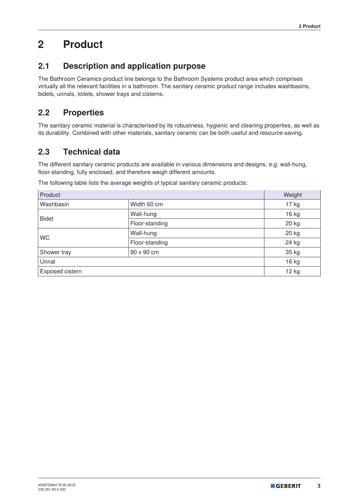# **2 Product**

## **2.1 Description and application purpose**

The Bathroom Ceramics product line belongs to the Bathroom Systems product area which comprises virtually all the relevant facilities in a bathroom. The sanitary ceramic product range includes washbasins, bidets, urinals, toilets, shower trays and cisterns.

## **2.2 Properties**

The sanitary ceramic material is characterised by its robustness, hygienic and cleaning properties, as well as its durability. Combined with other materials, sanitary ceramic can be both useful and resource-saving.

## **2.3 Technical data**

The different sanitary ceramic products are available in various dimensions and designs, e.g. wall-hung, floor-standing, fully enclosed, and therefore weigh different amounts.

The following table lists the average weights of typical sanitary ceramic products:

| Product         |                | Weight  |
|-----------------|----------------|---------|
| Washbasin       | Width 60 cm    | 17 kg   |
| <b>Bidet</b>    | Wall-hung      | 16 kg   |
|                 | Floor-standing | 20 kg   |
|                 | Wall-hung      | 20 kg   |
| <b>WC</b>       | Floor-standing | 24 kg   |
| Shower tray     | 90 x 90 cm     | 35 kg   |
| Urinal          |                | 16 kg   |
| Exposed cistern |                | $12$ kg |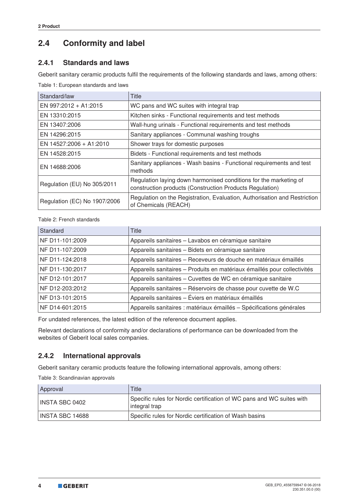## **2.4 Conformity and label**

#### **2.4.1 Standards and laws**

Geberit sanitary ceramic products fulfil the requirements of the following standards and laws, among others:

Table 1: European standards and laws

| Standard/law                 | Title                                                                                                                         |
|------------------------------|-------------------------------------------------------------------------------------------------------------------------------|
| EN 997:2012 + A1:2015        | WC pans and WC suites with integral trap                                                                                      |
| EN 13310:2015                | Kitchen sinks - Functional requirements and test methods                                                                      |
| EN 13407:2006                | Wall-hung urinals - Functional requirements and test methods                                                                  |
| EN 14296:2015                | Sanitary appliances - Communal washing troughs                                                                                |
| EN 14527:2006 + A1:2010      | Shower trays for domestic purposes                                                                                            |
| EN 14528:2015                | Bidets - Functional requirements and test methods                                                                             |
| EN 14688:2006                | Sanitary appliances - Wash basins - Functional requirements and test<br>methods                                               |
| Regulation (EU) No 305/2011  | Regulation laying down harmonised conditions for the marketing of<br>construction products (Construction Products Regulation) |
| Regulation (EC) No 1907/2006 | Regulation on the Registration, Evaluation, Authorisation and Restriction<br>of Chemicals (REACH)                             |

Table 2: French standards

| Standard        | <b>Title</b>                                                             |
|-----------------|--------------------------------------------------------------------------|
| NF D11-101:2009 | Appareils sanitaires - Lavabos en céramique sanitaire                    |
| NF D11-107:2009 | Appareils sanitaires - Bidets en céramique sanitaire                     |
| NF D11-124:2018 | Appareils sanitaires - Receveurs de douche en matériaux émaillés         |
| NF D11-130:2017 | Appareils sanitaires - Produits en matériaux émaillés pour collectivités |
| NF D12-101:2017 | Appareils sanitaires - Cuvettes de WC en céramique sanitaire             |
| NF D12-203:2012 | Appareils sanitaires - Réservoirs de chasse pour cuvette de W.C          |
| NF D13-101:2015 | Appareils sanitaires - Éviers en matériaux émaillés                      |
| NF D14-601:2015 | Appareils sanitaires : matériaux émaillés - Spécifications générales     |

For undated references, the latest edition of the reference document applies.

Relevant declarations of conformity and/or declarations of performance can be downloaded from the websites of Geberit local sales companies.

#### **2.4.2 International approvals**

Geberit sanitary ceramic products feature the following international approvals, among others:

Table 3: Scandinavian approvals

| Approval        | Title                                                                                  |
|-----------------|----------------------------------------------------------------------------------------|
| INSTA SBC 0402  | Specific rules for Nordic certification of WC pans and WC suites with<br>integral trap |
| INSTA SBC 14688 | Specific rules for Nordic certification of Wash basins                                 |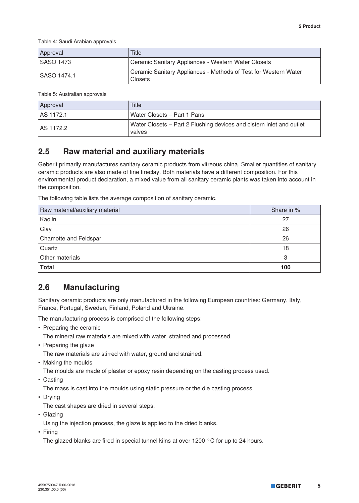Table 4: Saudi Arabian approvals

| Approval         | <b>Title</b>                                                                      |
|------------------|-----------------------------------------------------------------------------------|
| <b>SASO 1473</b> | Ceramic Sanitary Appliances - Western Water Closets                               |
| SASO 1474.1      | Ceramic Sanitary Appliances - Methods of Test for Western Water<br><b>Closets</b> |

Table 5: Australian approvals

| Approval         | Title                                                                          |
|------------------|--------------------------------------------------------------------------------|
| <b>AS 1172.1</b> | Water Closets - Part 1 Pans                                                    |
| LAS 1172.2       | Water Closets – Part 2 Flushing devices and cistern inlet and outlet<br>valves |

## **2.5 Raw material and auxiliary materials**

Geberit primarily manufactures sanitary ceramic products from vitreous china. Smaller quantities of sanitary ceramic products are also made of fine fireclay. Both materials have a different composition. For this environmental product declaration, a mixed value from all sanitary ceramic plants was taken into account in the composition.

The following table lists the average composition of sanitary ceramic.

| Raw material/auxiliary material | Share in % |
|---------------------------------|------------|
| Kaolin                          | 27         |
| Clay                            | 26         |
| Chamotte and Feldspar           | 26         |
| Quartz                          | 18         |
| Other materials                 | 3          |
| <b>Total</b>                    | 100        |

## **2.6 Manufacturing**

Sanitary ceramic products are only manufactured in the following European countries: Germany, Italy, France, Portugal, Sweden, Finland, Poland and Ukraine.

The manufacturing process is comprised of the following steps:

• Preparing the ceramic

The mineral raw materials are mixed with water, strained and processed.

• Preparing the glaze

The raw materials are stirred with water, ground and strained.

• Making the moulds

The moulds are made of plaster or epoxy resin depending on the casting process used.

• Casting

The mass is cast into the moulds using static pressure or the die casting process.

• Drying

The cast shapes are dried in several steps.

• Glazing

Using the injection process, the glaze is applied to the dried blanks.

• Firing

The glazed blanks are fired in special tunnel kilns at over 1200  $\degree$ C for up to 24 hours.

**5**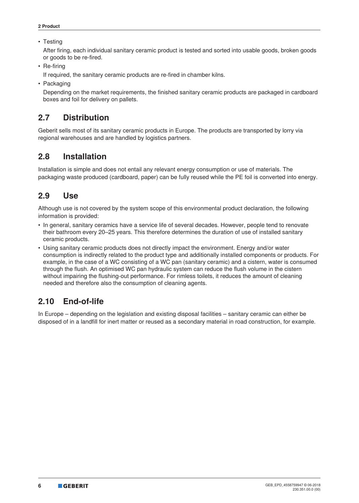#### • Testing

After firing, each individual sanitary ceramic product is tested and sorted into usable goods, broken goods or goods to be re-fired.

• Re-firing

If required, the sanitary ceramic products are re-fired in chamber kilns.

• Packaging

Depending on the market requirements, the finished sanitary ceramic products are packaged in cardboard boxes and foil for delivery on pallets.

## **2.7 Distribution**

Geberit sells most of its sanitary ceramic products in Europe. The products are transported by lorry via regional warehouses and are handled by logistics partners.

## **2.8 Installation**

Installation is simple and does not entail any relevant energy consumption or use of materials. The packaging waste produced (cardboard, paper) can be fully reused while the PE foil is converted into energy.

## **2.9 Use**

Although use is not covered by the system scope of this environmental product declaration, the following information is provided:

- In general, sanitary ceramics have a service life of several decades. However, people tend to renovate their bathroom every 20–25 years. This therefore determines the duration of use of installed sanitary ceramic products.
- Using sanitary ceramic products does not directly impact the environment. Energy and/or water consumption is indirectly related to the product type and additionally installed components or products. For example, in the case of a WC consisting of a WC pan (sanitary ceramic) and a cistern, water is consumed through the flush. An optimised WC pan hydraulic system can reduce the flush volume in the cistern without impairing the flushing-out performance. For rimless toilets, it reduces the amount of cleaning needed and therefore also the consumption of cleaning agents.

## **2.10 End-of-life**

In Europe – depending on the legislation and existing disposal facilities – sanitary ceramic can either be disposed of in a landfill for inert matter or reused as a secondary material in road construction, for example.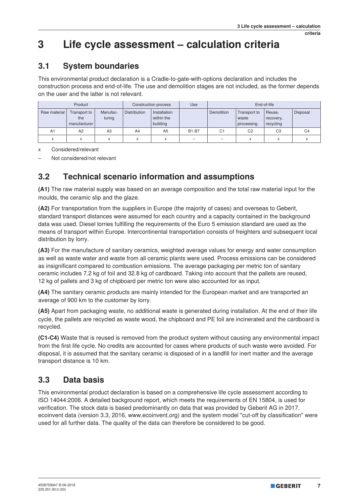## **3 Life cycle assessment – calculation criteria**

## **3.1 System boundaries**

This environmental product declaration is a Cradle-to-gate-with-options declaration and includes the construction process and end-of-life. The use and demolition stages are not included, as the former depends on the user and the latter is not relevant.

| Product<br>Construction process |                                     |                    | <b>Use</b>          | End-of-life                            |              |                   |                                     |                                  |                |
|---------------------------------|-------------------------------------|--------------------|---------------------|----------------------------------------|--------------|-------------------|-------------------------------------|----------------------------------|----------------|
| Raw material                    | Transport to<br>the<br>manufacturer | Manufac-<br>turing | <b>Distribution</b> | Installation<br>within the<br>building |              | <b>Demolition</b> | Transport to<br>waste<br>processing | Reuse,<br>recovery,<br>recycling | Disposal       |
| A1                              | A2                                  | A <sub>3</sub>     | A4                  | A <sub>5</sub>                         | <b>B1-B7</b> | C <sub>1</sub>    | C <sub>2</sub>                      | C <sub>3</sub>                   | C <sub>4</sub> |
| ́                               | $\lambda$<br>∧                      |                    | X                   |                                        |              |                   | X                                   | $\lambda$<br>v                   |                |

x Considered/relevant

– Not considered/not relevant

## **3.2 Technical scenario information and assumptions**

**(A1)** The raw material supply was based on an average composition and the total raw material input for the moulds, the ceramic slip and the glaze.

**(A2)** For transportation from the suppliers in Europe (the majority of cases) and overseas to Geberit, standard transport distances were assumed for each country and a capacity contained in the background data was used. Diesel lorries fulfilling the requirements of the Euro 5 emission standard are used as the means of transport within Europe. Intercontinental transportation consists of freighters and subsequent local distribution by lorry.

**(A3)** For the manufacture of sanitary ceramics, weighted average values for energy and water consumption as well as waste water and waste from all ceramic plants were used. Process emissions can be considered as insignificant compared to combustion emissions. The average packaging per metric ton of sanitary ceramic includes 7.2 kg of foil and 32.8 kg of cardboard. Taking into account that the pallets are reused, 12 kg of pallets and 3 kg of chipboard per metric ton were also accounted for as input.

**(A4)** The sanitary ceramic products are mainly intended for the European market and are transported an average of 900 km to the customer by lorry.

**(A5)** Apart from packaging waste, no additional waste is generated during installation. At the end of their life cycle, the pallets are recycled as waste wood, the chipboard and PE foil are incinerated and the cardboard is recycled.

**(C1-C4)** Waste that is reused is removed from the product system without causing any environmental impact from the first life cycle. No credits are accounted for cases where products of such waste were avoided. For disposal, it is assumed that the sanitary ceramic is disposed of in a landfill for inert matter and the average transport distance is 10 km.

## **3.3 Data basis**

This environmental product declaration is based on a comprehensive life cycle assessment according to ISO 14044:2006. A detailed background report, which meets the requirements of EN 15804, is used for verification. The stock data is based predominantly on data that was provided by Geberit AG in 2017. ecoinvent data (version 3.3, 2016, www.ecoinvent.org) and the system model "cut-off by classification" were used for all further data. The quality of the data can therefore be considered to be good.

**7**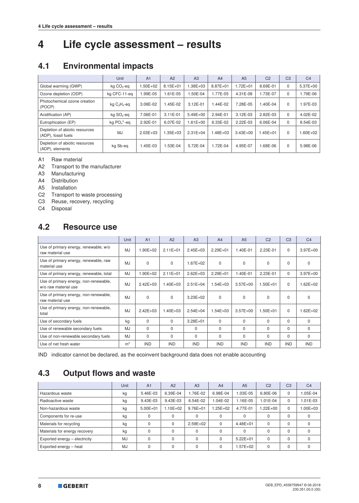# **4 Life cycle assessment – results**

## **4.1 Environmental impacts**

|                                                       | <b>Unit</b>            | A <sub>1</sub> | A <sub>2</sub> | A3           | A <sub>4</sub> | A <sub>5</sub> | C <sub>2</sub> | C <sub>3</sub> | C <sub>4</sub> |
|-------------------------------------------------------|------------------------|----------------|----------------|--------------|----------------|----------------|----------------|----------------|----------------|
| Global warming (GWP)                                  | kg CO <sub>2</sub> -eq | $.50E + 02$    | $8.15E + 01$   | 1.38E+03     | $8.87E + 01$   | $.72E + 01$    | 8.69E-01       | 0              | 5.37E+00       |
| Ozone depletion (ODP)                                 | kg CFC-11-eg           | 1.99E-05       | 1.61E-05       | .50E-04      | 1.77E-05       | 4.31E-08       | 1.73E-07       | 0              | 1.79E-06       |
| Photochemical ozone creation<br>(POCP)                | kg $C_2H_4$ -eq        | 3.08E-02       | 1.45E-02       | 3.12E-01     | 1.44E-02       | 7.28E-05       | 1.40E-04       | $\mathbf 0$    | 1.97E-03       |
| Acidification (AP)                                    | kg SO <sub>2</sub> -eq | 7.06E-01       | $3.11E - 01$   | 5.49E+00     | 2.94E-01       | 3.12E-03       | 2.82E-03       | 0              | 4.02E-02       |
| Eutrophication (EP)                                   | kg $PO43 - eq$         | 2.92E-01       | 6.07E-02       | $1.61E + 00$ | 6.33E-02       | $2.22E-03$     | 6.06E-04       | $\Omega$       | 8.54E-03       |
| Depletion of abiotic resources<br>(ADP), fossil fuels | MJ                     | $2.03E + 03$   | $1.35E + 03$   | $2.31E + 04$ | $.48E + 03$    | $3.43E + 00$   | $1.45E + 01$   | $\Omega$       | $.60E + 02$    |
| Depletion of abiotic resources<br>(ADP), elements     | kg Sb-eg               | 1.45E-03       | 1.53E-04       | 5.72E-04     | 1.72E-04       | 4.95E-07       | 1.68E-06       | $\Omega$       | 5.98E-06       |

A1 Raw material

A2 Transport to the manufacturer

A3 Manufacturing

A4 Distribution

A5 Installation

C2 Transport to waste processing

C3 Reuse, recovery, recycling

C4 Disposal

## **4.2 Resource use**

|                                                               | <b>Unit</b>    | A <sub>1</sub> | A2           | A3           | A4           | A <sub>5</sub> | C <sub>2</sub> | C <sub>3</sub> | C <sub>4</sub> |
|---------------------------------------------------------------|----------------|----------------|--------------|--------------|--------------|----------------|----------------|----------------|----------------|
| Use of primary energy, renewable, w/o<br>raw material use     | MJ.            | $1.90E + 02$   | $2.11E + 01$ | $2.45E + 03$ | $2.29E + 01$ | 1.40E-01       | 2.23E-01       | $\Omega$       | $3.97E + 00$   |
| Use of primary energy, renewable, raw<br>material use         | MJ             | $\Omega$       | $\Omega$     | $1.67E + 02$ | $\Omega$     | $\Omega$       | $\Omega$       | $\Omega$       | $\Omega$       |
| Use of primary energy, renewable, total                       | MJ             | 1.90E+02       | $2.11E+01$   | $2.62E + 03$ | $2.29E + 01$ | 1.40E-01       | 2.23E-01       | $\mathbf 0$    | $3.97E + 00$   |
| Use of primary energy, non-renewable,<br>w/o raw material use | MJ.            | $2.42E + 03$   | $1.40E + 03$ | $2.51E + 04$ | $1.54E + 03$ | $3.57E + 00$   | $1.50E + 01$   | $\Omega$       | $1.62E + 02$   |
| Use of primary energy, non-renewable,<br>raw material use     | MJ             | $\Omega$       | $\mathbf 0$  | $3.23E + 02$ | 0            | $\mathbf 0$    | $\Omega$       | 0              | $\mathbf 0$    |
| Use of primary energy, non-renewable,<br>total                | MJ.            | $2.42E + 03$   | $1.40E + 03$ | $2.54E + 04$ | $1.54E + 03$ | $3.57E + 00$   | $1.50E + 01$   | $\Omega$       | $1.62E + 02$   |
| Use of secondary fuels                                        | kg             | $\Omega$       | $\Omega$     | $3.28E + 01$ | $\Omega$     | $\Omega$       | $\Omega$       | $\Omega$       | $\mathbf 0$    |
| Use of renewable secondary fuels                              | MJ             | $\Omega$       | $\Omega$     | $\Omega$     | $\Omega$     | $\Omega$       | $\Omega$       | $\Omega$       | $\Omega$       |
| Use of non-renewable secondary fuels                          | MJ             | $\Omega$       | $\Omega$     | $\Omega$     | 0            | $\Omega$       | $\Omega$       | $\Omega$       | 0              |
| Use of net fresh water                                        | m <sup>3</sup> | <b>IND</b>     | <b>IND</b>   | <b>IND</b>   | <b>IND</b>   | <b>IND</b>     | <b>IND</b>     | <b>IND</b>     | <b>IND</b>     |

IND indicator cannot be declared, as the ecoinvent background data does not enable accounting

## **4.3 Output flows and waste**

|                               | Unit      | A <sub>1</sub> | A2           | A <sub>3</sub> | A <sub>4</sub> | A <sub>5</sub> | C <sub>2</sub> | C <sub>3</sub> | C <sub>4</sub> |
|-------------------------------|-----------|----------------|--------------|----------------|----------------|----------------|----------------|----------------|----------------|
| Hazardous waste               | kg        | 5.46E-03       | 6.39E-04     | .76E-02        | 6.98E-04       | 1.03E-05       | 6.80E-06       | $\Omega$       | $.05E-04$      |
| Radioactive waste             | kg        | 9.43E-03       | 9.43E-03     | 6.54E-02       | 1.04E-02       | 1.16E-05       | 1.01E-04       | $\Omega$       | 1.01E-03       |
| Non-hazardous waste           | kg        | $5.00E + 01$   | $1.10E + 02$ | $9.76E + 01$   | $1.25E + 02$   | 4.77E-01       | 1.22E+00       | $\Omega$       | $.00E + 03$    |
| Components for re-use         | kg        | 0              | $\Omega$     | 0              | 0              | $\Omega$       |                | $\Omega$       | $\Omega$       |
| Materials for recycling       | kg        | 0              | $\Omega$     | $2.59E + 02$   | $\Omega$       | $4.48E + 01$   | 0              | $\Omega$       |                |
| Materials for energy recovery | kg        | 0              | $\Omega$     | 0              | $\Omega$       | $\Omega$       |                | $\Omega$       |                |
| Exported energy - electricity | <b>MJ</b> |                | $\Omega$     | 0              | $\Omega$       | $5.22E + 01$   | 0              | $\Omega$       |                |
| Exported energy - heat        | <b>MJ</b> |                | $\Omega$     | 0              | $\Omega$       | .57E+02        |                | $\Omega$       |                |